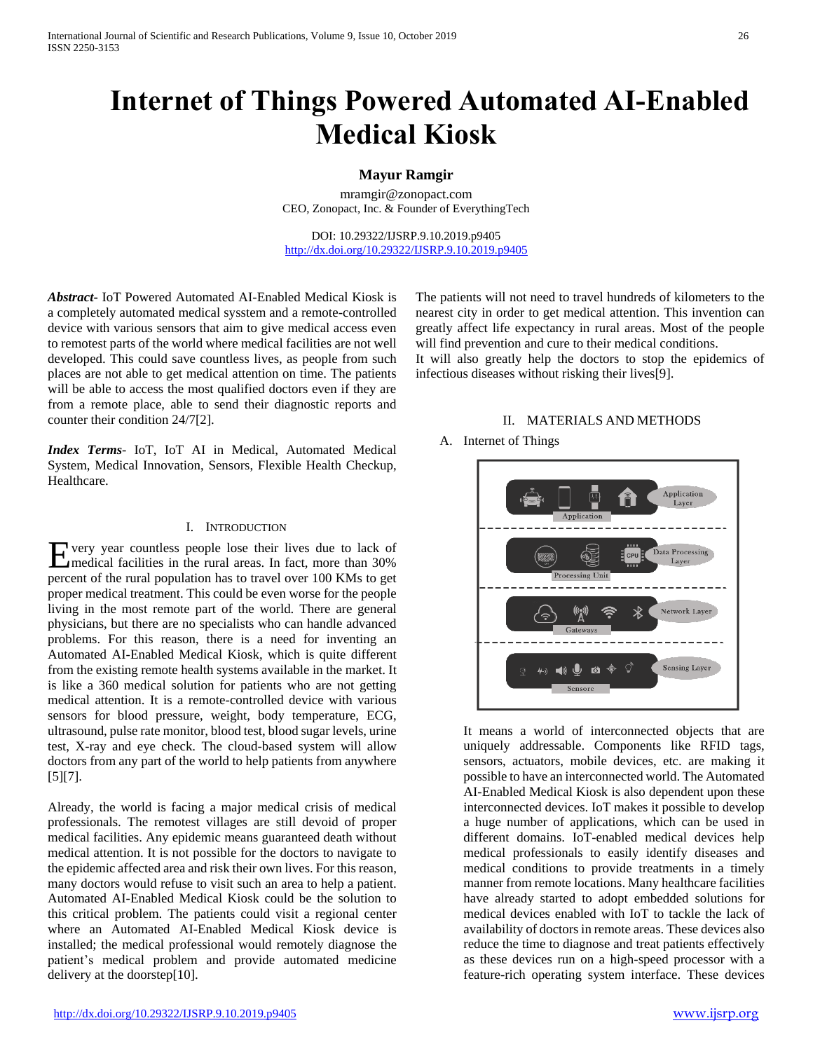# **Internet of Things Powered Automated AI-Enabled Medical Kiosk**

# **Mayur Ramgir**

mramgir@zonopact.com CEO, Zonopact, Inc. & Founder of EverythingTech

DOI: 10.29322/IJSRP.9.10.2019.p9405 <http://dx.doi.org/10.29322/IJSRP.9.10.2019.p9405>

*Abstract***-** IoT Powered Automated AI-Enabled Medical Kiosk is a completely automated medical sysstem and a remote-controlled device with various sensors that aim to give medical access even to remotest parts of the world where medical facilities are not well developed. This could save countless lives, as people from such places are not able to get medical attention on time. The patients will be able to access the most qualified doctors even if they are from a remote place, able to send their diagnostic reports and counter their condition 24/7[2].

*Index Terms*- IoT, IoT AI in Medical, Automated Medical System, Medical Innovation, Sensors, Flexible Health Checkup, Healthcare.

### I. INTRODUCTION

very year countless people lose their lives due to lack of medical facilities in the rural areas. In fact, more than 30% Epercent of the rural population has to travel over 100 KMs to get proper medical treatment. This could be even worse for the people living in the most remote part of the world. There are general physicians, but there are no specialists who can handle advanced problems. For this reason, there is a need for inventing an Automated AI-Enabled Medical Kiosk, which is quite different from the existing remote health systems available in the market. It is like a 360 medical solution for patients who are not getting medical attention. It is a remote-controlled device with various sensors for blood pressure, weight, body temperature, ECG, ultrasound, pulse rate monitor, blood test, blood sugar levels, urine test, X-ray and eye check. The cloud-based system will allow doctors from any part of the world to help patients from anywhere [5][7].

Already, the world is facing a major medical crisis of medical professionals. The remotest villages are still devoid of proper medical facilities. Any epidemic means guaranteed death without medical attention. It is not possible for the doctors to navigate to the epidemic affected area and risk their own lives. For this reason, many doctors would refuse to visit such an area to help a patient. Automated AI-Enabled Medical Kiosk could be the solution to this critical problem. The patients could visit a regional center where an Automated AI-Enabled Medical Kiosk device is installed; the medical professional would remotely diagnose the patient's medical problem and provide automated medicine delivery at the doorstep[10].

The patients will not need to travel hundreds of kilometers to the nearest city in order to get medical attention. This invention can greatly affect life expectancy in rural areas. Most of the people will find prevention and cure to their medical conditions.

It will also greatly help the doctors to stop the epidemics of infectious diseases without risking their lives[9].

#### II. MATERIALS AND METHODS

### A. Internet of Things



It means a world of interconnected objects that are uniquely addressable. Components like RFID tags, sensors, actuators, mobile devices, etc. are making it possible to have an interconnected world. The Automated AI-Enabled Medical Kiosk is also dependent upon these interconnected devices. IoT makes it possible to develop a huge number of applications, which can be used in different domains. IoT-enabled medical devices help medical professionals to easily identify diseases and medical conditions to provide treatments in a timely manner from remote locations. Many healthcare facilities have already started to adopt embedded solutions for medical devices enabled with IoT to tackle the lack of availability of doctors in remote areas. These devices also reduce the time to diagnose and treat patients effectively as these devices run on a high-speed processor with a feature-rich operating system interface. These devices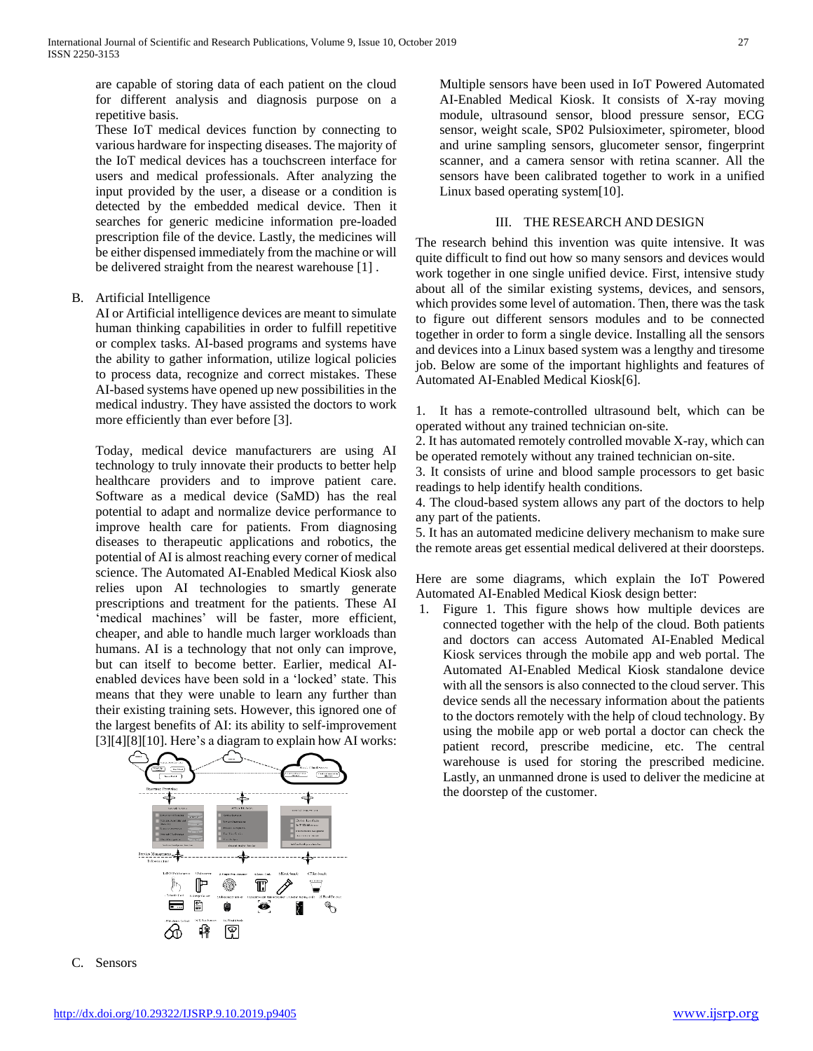are capable of storing data of each patient on the cloud for different analysis and diagnosis purpose on a repetitive basis.

These IoT medical devices function by connecting to various hardware for inspecting diseases. The majority of the IoT medical devices has a touchscreen interface for users and medical professionals. After analyzing the input provided by the user, a disease or a condition is detected by the embedded medical device. Then it searches for generic medicine information pre-loaded prescription file of the device. Lastly, the medicines will be either dispensed immediately from the machine or will be delivered straight from the nearest warehouse [1] .

# B. Artificial Intelligence

AI or Artificial intelligence devices are meant to simulate human thinking capabilities in order to fulfill repetitive or complex tasks. AI-based programs and systems have the ability to gather information, utilize logical policies to process data, recognize and correct mistakes. These AI-based systems have opened up new possibilities in the medical industry. They have assisted the doctors to work more efficiently than ever before [3].

Today, medical device manufacturers are using AI technology to truly innovate their products to better help healthcare providers and to improve patient care. Software as a medical device (SaMD) has the real potential to adapt and normalize device performance to improve health care for patients. From diagnosing diseases to therapeutic applications and robotics, the potential of AI is almost reaching every corner of medical science. The Automated AI-Enabled Medical Kiosk also relies upon AI technologies to smartly generate prescriptions and treatment for the patients. These AI 'medical machines' will be faster, more efficient, cheaper, and able to handle much larger workloads than humans. AI is a technology that not only can improve, but can itself to become better. Earlier, medical AIenabled devices have been sold in a 'locked' state. This means that they were unable to learn any further than their existing training sets. However, this ignored one of the largest benefits of AI: its ability to self-improvement [3][4][8][10]. Here's a diagram to explain how AI works:



C. Sensors

Multiple sensors have been used in IoT Powered Automated AI-Enabled Medical Kiosk. It consists of X-ray moving module, ultrasound sensor, blood pressure sensor, ECG sensor, weight scale, SP02 Pulsioximeter, spirometer, blood and urine sampling sensors, glucometer sensor, fingerprint scanner, and a camera sensor with retina scanner. All the sensors have been calibrated together to work in a unified Linux based operating system[10].

#### III. THE RESEARCH AND DESIGN

The research behind this invention was quite intensive. It was quite difficult to find out how so many sensors and devices would work together in one single unified device. First, intensive study about all of the similar existing systems, devices, and sensors, which provides some level of automation. Then, there was the task to figure out different sensors modules and to be connected together in order to form a single device. Installing all the sensors and devices into a Linux based system was a lengthy and tiresome job. Below are some of the important highlights and features of Automated AI-Enabled Medical Kiosk[6].

1. It has a remote-controlled ultrasound belt, which can be operated without any trained technician on-site.

2. It has automated remotely controlled movable X-ray, which can be operated remotely without any trained technician on-site.

3. It consists of urine and blood sample processors to get basic readings to help identify health conditions.

4. The cloud-based system allows any part of the doctors to help any part of the patients.

5. It has an automated medicine delivery mechanism to make sure the remote areas get essential medical delivered at their doorsteps.

Here are some diagrams, which explain the IoT Powered Automated AI-Enabled Medical Kiosk design better:

1. Figure 1. This figure shows how multiple devices are connected together with the help of the cloud. Both patients and doctors can access Automated AI-Enabled Medical Kiosk services through the mobile app and web portal. The Automated AI-Enabled Medical Kiosk standalone device with all the sensors is also connected to the cloud server. This device sends all the necessary information about the patients to the doctors remotely with the help of cloud technology. By using the mobile app or web portal a doctor can check the patient record, prescribe medicine, etc. The central warehouse is used for storing the prescribed medicine. Lastly, an unmanned drone is used to deliver the medicine at the doorstep of the customer.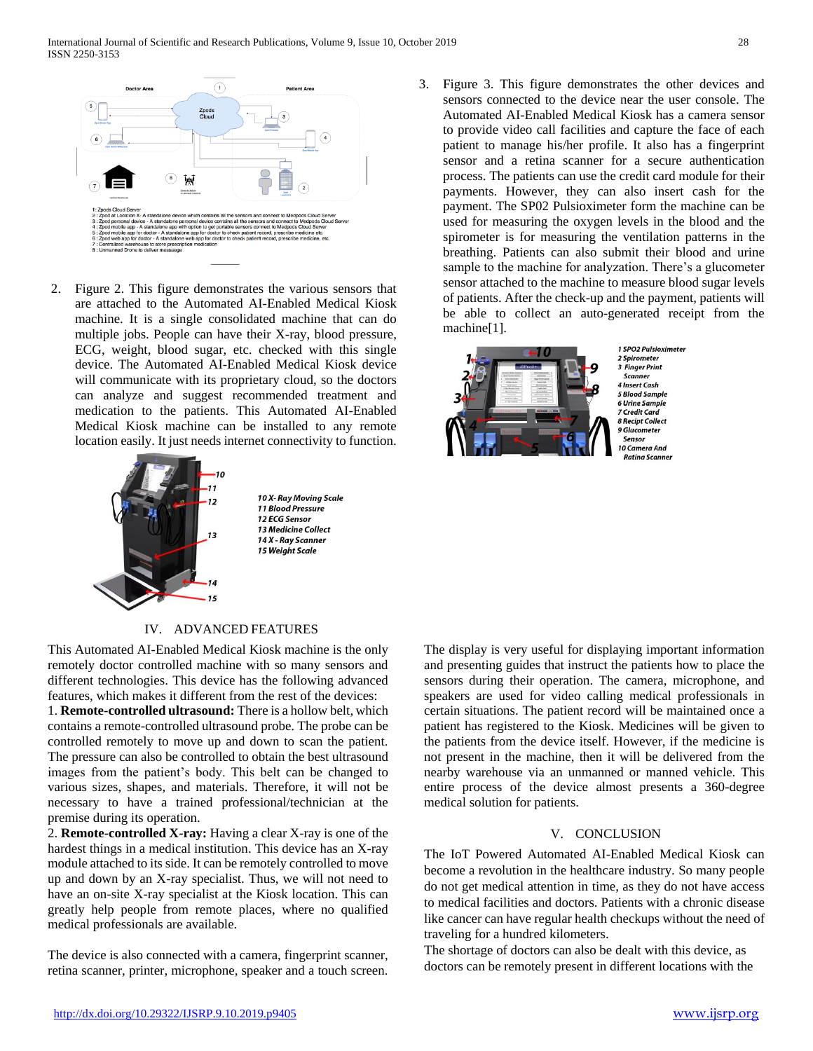

2. Figure 2. This figure demonstrates the various sensors that are attached to the Automated AI-Enabled Medical Kiosk machine. It is a single consolidated machine that can do multiple jobs. People can have their X-ray, blood pressure, ECG, weight, blood sugar, etc. checked with this single device. The Automated AI-Enabled Medical Kiosk device will communicate with its proprietary cloud, so the doctors can analyze and suggest recommended treatment and medication to the patients. This Automated AI-Enabled Medical Kiosk machine can be installed to any remote location easily. It just needs internet connectivity to function.



10 X- Ray Moving Scale 11 Blood Pressure 12 ECG Sensor 13 Medicine Collect 14 X - Ray Scanner 15 Weight Scale

## IV. ADVANCED FEATURES

This Automated AI-Enabled Medical Kiosk machine is the only remotely doctor controlled machine with so many sensors and different technologies. This device has the following advanced features, which makes it different from the rest of the devices:

1. **Remote-controlled ultrasound:** There is a hollow belt, which contains a remote-controlled ultrasound probe. The probe can be controlled remotely to move up and down to scan the patient. The pressure can also be controlled to obtain the best ultrasound images from the patient's body. This belt can be changed to various sizes, shapes, and materials. Therefore, it will not be necessary to have a trained professional/technician at the premise during its operation.

2. **Remote-controlled X-ray:** Having a clear X-ray is one of the hardest things in a medical institution. This device has an X-ray module attached to its side. It can be remotely controlled to move up and down by an X-ray specialist. Thus, we will not need to have an on-site X-ray specialist at the Kiosk location. This can greatly help people from remote places, where no qualified medical professionals are available.

The device is also connected with a camera, fingerprint scanner, retina scanner, printer, microphone, speaker and a touch screen.

3. Figure 3. This figure demonstrates the other devices and sensors connected to the device near the user console. The Automated AI-Enabled Medical Kiosk has a camera sensor to provide video call facilities and capture the face of each patient to manage his/her profile. It also has a fingerprint sensor and a retina scanner for a secure authentication process. The patients can use the credit card module for their payments. However, they can also insert cash for the payment. The SP02 Pulsioximeter form the machine can be used for measuring the oxygen levels in the blood and the spirometer is for measuring the ventilation patterns in the breathing. Patients can also submit their blood and urine sample to the machine for analyzation. There's a glucometer sensor attached to the machine to measure blood sugar levels of patients. After the check-up and the payment, patients will be able to collect an auto-generated receipt from the machine[1].



The display is very useful for displaying important information and presenting guides that instruct the patients how to place the sensors during their operation. The camera, microphone, and speakers are used for video calling medical professionals in certain situations. The patient record will be maintained once a patient has registered to the Kiosk. Medicines will be given to the patients from the device itself. However, if the medicine is not present in the machine, then it will be delivered from the nearby warehouse via an unmanned or manned vehicle. This entire process of the device almost presents a 360-degree medical solution for patients.

# V. CONCLUSION

The IoT Powered Automated AI-Enabled Medical Kiosk can become a revolution in the healthcare industry. So many people do not get medical attention in time, as they do not have access to medical facilities and doctors. Patients with a chronic disease like cancer can have regular health checkups without the need of traveling for a hundred kilometers.

The shortage of doctors can also be dealt with this device, as doctors can be remotely present in different locations with the